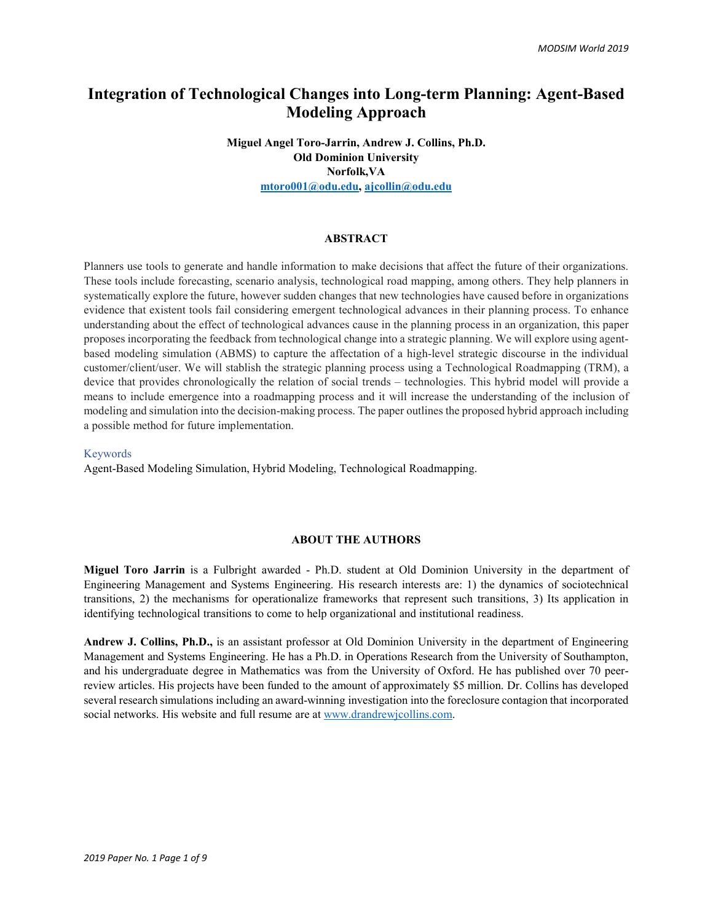# **Integration of Technological Changes into Long-term Planning: Agent-Based Modeling Approach**

**Miguel Angel Toro-Jarrin, Andrew J. Collins, Ph.D. Old Dominion University Norfolk,VA [mtoro001@odu.edu,](mailto:mtoro001@odu.edu) [ajcollin@odu.edu](mailto:ajcollin@odu.edu)**

### **ABSTRACT**

Planners use tools to generate and handle information to make decisions that affect the future of their organizations. These tools include forecasting, scenario analysis, technological road mapping, among others. They help planners in systematically explore the future, however sudden changes that new technologies have caused before in organizations evidence that existent tools fail considering emergent technological advances in their planning process. To enhance understanding about the effect of technological advances cause in the planning process in an organization, this paper proposes incorporating the feedback from technological change into a strategic planning. We will explore using agentbased modeling simulation (ABMS) to capture the affectation of a high-level strategic discourse in the individual customer/client/user. We will stablish the strategic planning process using a Technological Roadmapping (TRM), a device that provides chronologically the relation of social trends – technologies. This hybrid model will provide a means to include emergence into a roadmapping process and it will increase the understanding of the inclusion of modeling and simulation into the decision-making process. The paper outlines the proposed hybrid approach including a possible method for future implementation.

#### Keywords

Agent-Based Modeling Simulation, Hybrid Modeling, Technological Roadmapping.

#### **ABOUT THE AUTHORS**

**Miguel Toro Jarrin** is a Fulbright awarded - Ph.D. student at Old Dominion University in the department of Engineering Management and Systems Engineering. His research interests are: 1) the dynamics of sociotechnical transitions, 2) the mechanisms for operationalize frameworks that represent such transitions, 3) Its application in identifying technological transitions to come to help organizational and institutional readiness.

**Andrew J. Collins, Ph.D.,** is an assistant professor at Old Dominion University in the department of Engineering Management and Systems Engineering. He has a Ph.D. in Operations Research from the University of Southampton, and his undergraduate degree in Mathematics was from the University of Oxford. He has published over 70 peerreview articles. His projects have been funded to the amount of approximately \$5 million. Dr. Collins has developed several research simulations including an award-winning investigation into the foreclosure contagion that incorporated social networks. His website and full resume are at [www.drandrewjcollins.com.](http://www.drandrewjcollins.com/)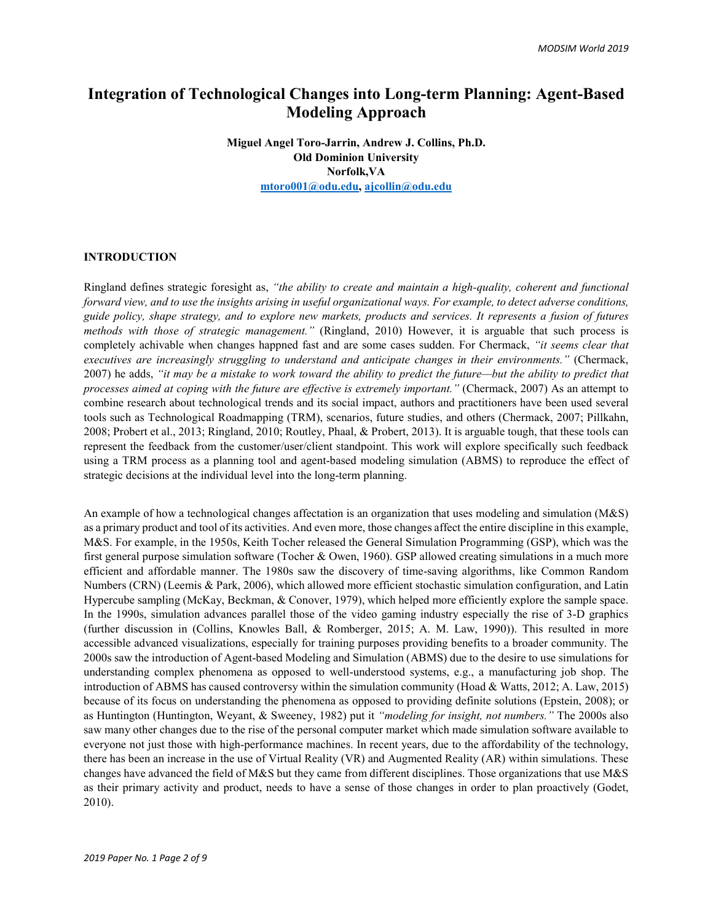# **Integration of Technological Changes into Long-term Planning: Agent-Based Modeling Approach**

**Miguel Angel Toro-Jarrin, Andrew J. Collins, Ph.D. Old Dominion University Norfolk,VA [mtoro001@odu.edu,](mailto:mtoro001@odu.edu) [ajcollin@odu.edu](mailto:ajcollin@odu.edu)**

### **INTRODUCTION**

Ringland defines strategic foresight as, *"the ability to create and maintain a high-quality, coherent and functional forward view, and to use the insights arising in useful organizational ways. For example, to detect adverse conditions, guide policy, shape strategy, and to explore new markets, products and services. It represents a fusion of futures methods with those of strategic management."* (Ringland, 2010) However, it is arguable that such process is completely achivable when changes happned fast and are some cases sudden. For Chermack, *"it seems clear that executives are increasingly struggling to understand and anticipate changes in their environments."* (Chermack, 2007) he adds, *"it may be a mistake to work toward the ability to predict the future—but the ability to predict that processes aimed at coping with the future are effective is extremely important."* (Chermack, 2007) As an attempt to combine research about technological trends and its social impact, authors and practitioners have been used several tools such as Technological Roadmapping (TRM), scenarios, future studies, and others (Chermack, 2007; Pillkahn, 2008; Probert et al., 2013; Ringland, 2010; Routley, Phaal, & Probert, 2013). It is arguable tough, that these tools can represent the feedback from the customer/user/client standpoint. This work will explore specifically such feedback using a TRM process as a planning tool and agent-based modeling simulation (ABMS) to reproduce the effect of strategic decisions at the individual level into the long-term planning.

An example of how a technological changes affectation is an organization that uses modeling and simulation (M&S) as a primary product and tool of its activities. And even more, those changes affect the entire discipline in this example, M&S. For example, in the 1950s, Keith Tocher released the General Simulation Programming (GSP), which was the first general purpose simulation software (Tocher & Owen, 1960). GSP allowed creating simulations in a much more efficient and affordable manner. The 1980s saw the discovery of time-saving algorithms, like Common Random Numbers (CRN) (Leemis & Park, 2006), which allowed more efficient stochastic simulation configuration, and Latin Hypercube sampling (McKay, Beckman, & Conover, 1979), which helped more efficiently explore the sample space. In the 1990s, simulation advances parallel those of the video gaming industry especially the rise of 3-D graphics (further discussion in (Collins, Knowles Ball, & Romberger, 2015; A. M. Law, 1990)). This resulted in more accessible advanced visualizations, especially for training purposes providing benefits to a broader community. The 2000s saw the introduction of Agent-based Modeling and Simulation (ABMS) due to the desire to use simulations for understanding complex phenomena as opposed to well-understood systems, e.g., a manufacturing job shop. The introduction of ABMS has caused controversy within the simulation community (Hoad & Watts, 2012; A. Law, 2015) because of its focus on understanding the phenomena as opposed to providing definite solutions (Epstein, 2008); or as Huntington (Huntington, Weyant, & Sweeney, 1982) put it *"modeling for insight, not numbers."* The 2000s also saw many other changes due to the rise of the personal computer market which made simulation software available to everyone not just those with high-performance machines. In recent years, due to the affordability of the technology, there has been an increase in the use of Virtual Reality (VR) and Augmented Reality (AR) within simulations. These changes have advanced the field of M&S but they came from different disciplines. Those organizations that use M&S as their primary activity and product, needs to have a sense of those changes in order to plan proactively (Godet, 2010).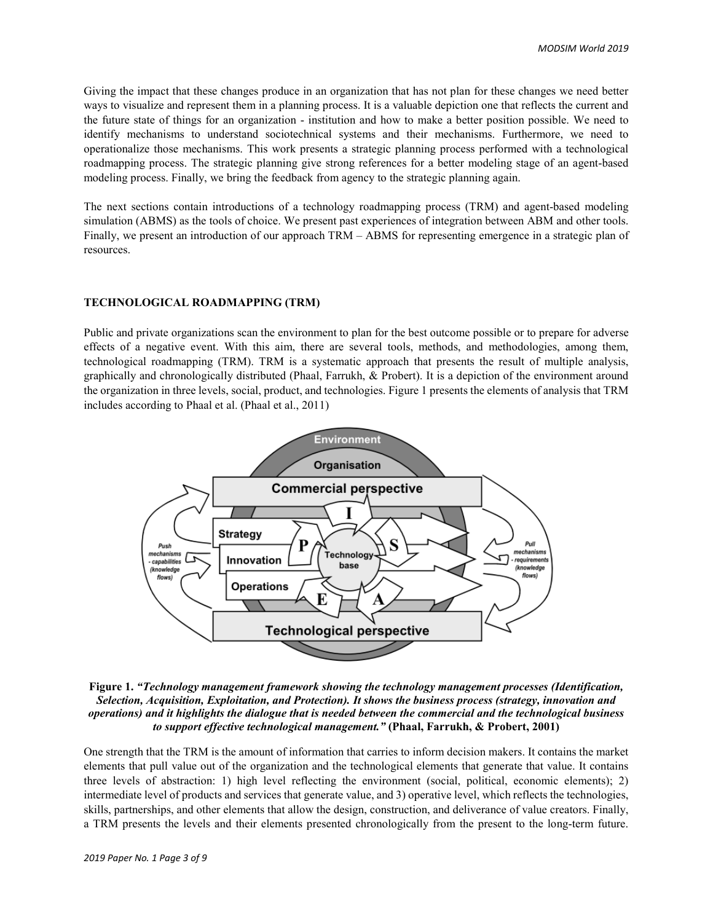Giving the impact that these changes produce in an organization that has not plan for these changes we need better ways to visualize and represent them in a planning process. It is a valuable depiction one that reflects the current and the future state of things for an organization - institution and how to make a better position possible. We need to identify mechanisms to understand sociotechnical systems and their mechanisms. Furthermore, we need to operationalize those mechanisms. This work presents a strategic planning process performed with a technological roadmapping process. The strategic planning give strong references for a better modeling stage of an agent-based modeling process. Finally, we bring the feedback from agency to the strategic planning again.

The next sections contain introductions of a technology roadmapping process (TRM) and agent-based modeling simulation (ABMS) as the tools of choice. We present past experiences of integration between ABM and other tools. Finally, we present an introduction of our approach TRM – ABMS for representing emergence in a strategic plan of resources.

## **TECHNOLOGICAL ROADMAPPING (TRM)**

Public and private organizations scan the environment to plan for the best outcome possible or to prepare for adverse effects of a negative event. With this aim, there are several tools, methods, and methodologies, among them, technological roadmapping (TRM). TRM is a systematic approach that presents the result of multiple analysis, graphically and chronologically distributed (Phaal, Farrukh, & Probert). It is a depiction of the environment around the organization in three levels, social, product, and technologies[. Figure 1](#page-2-0) presents the elements of analysis that TRM includes according to Phaal et al. (Phaal et al., 2011)



<span id="page-2-0"></span>**Figure 1.** *"Technology management framework showing the technology management processes (Identification, Selection, Acquisition, Exploitation, and Protection). It shows the business process (strategy, innovation and operations) and it highlights the dialogue that is needed between the commercial and the technological business to support effective technological management."* **(Phaal, Farrukh, & Probert, 2001)**

One strength that the TRM is the amount of information that carries to inform decision makers. It contains the market elements that pull value out of the organization and the technological elements that generate that value. It contains three levels of abstraction: 1) high level reflecting the environment (social, political, economic elements); 2) intermediate level of products and services that generate value, and 3) operative level, which reflects the technologies, skills, partnerships, and other elements that allow the design, construction, and deliverance of value creators. Finally, a TRM presents the levels and their elements presented chronologically from the present to the long-term future.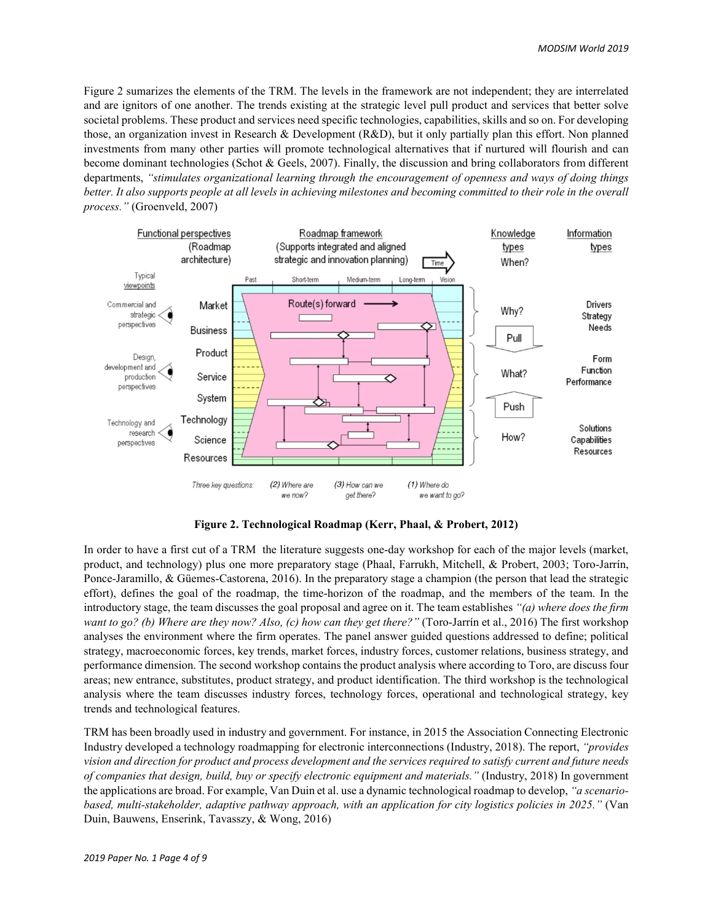[Figure 2](#page-3-0) sumarizes the elements of the TRM. The levels in the framework are not independent; they are interrelated and are ignitors of one another. The trends existing at the strategic level pull product and services that better solve societal problems. These product and services need specific technologies, capabilities, skills and so on. For developing those, an organization invest in Research & Development (R&D), but it only partially plan this effort. Non planned investments from many other parties will promote technological alternatives that if nurtured will flourish and can become dominant technologies (Schot & Geels, 2007). Finally, the discussion and bring collaborators from different departments, *"stimulates organizational learning through the encouragement of openness and ways of doing things better. It also supports people at all levels in achieving milestones and becoming committed to their role in the overall process."* (Groenveld, 2007)



**Figure 2. Technological Roadmap (Kerr, Phaal, & Probert, 2012)**

<span id="page-3-0"></span>In order to have a first cut of a TRM the literature suggests one-day workshop for each of the major levels (market, product, and technology) plus one more preparatory stage (Phaal, Farrukh, Mitchell, & Probert, 2003; Toro-Jarrín, Ponce-Jaramillo, & Güemes-Castorena, 2016). In the preparatory stage a champion (the person that lead the strategic effort), defines the goal of the roadmap, the time-horizon of the roadmap, and the members of the team. In the introductory stage, the team discusses the goal proposal and agree on it. The team establishes *"(a) where does the firm want to go? (b) Where are they now? Also, (c) how can they get there?"* (Toro-Jarrín et al., 2016) The first workshop analyses the environment where the firm operates. The panel answer guided questions addressed to define; political strategy, macroeconomic forces, key trends, market forces, industry forces, customer relations, business strategy, and performance dimension. The second workshop contains the product analysis where according to Toro, are discuss four areas; new entrance, substitutes, product strategy, and product identification. The third workshop is the technological analysis where the team discusses industry forces, technology forces, operational and technological strategy, key trends and technological features.

TRM has been broadly used in industry and government. For instance, in 2015 the Association Connecting Electronic Industry developed a technology roadmapping for electronic interconnections (Industry, 2018). The report, *"provides vision and direction for product and process development and the services required to satisfy current and future needs of companies that design, build, buy or specify electronic equipment and materials."* (Industry, 2018) In government the applications are broad. For example, Van Duin et al. use a dynamic technological roadmap to develop, *"a scenariobased, multi-stakeholder, adaptive pathway approach, with an application for city logistics policies in 2025."* (Van Duin, Bauwens, Enserink, Tavasszy, & Wong, 2016)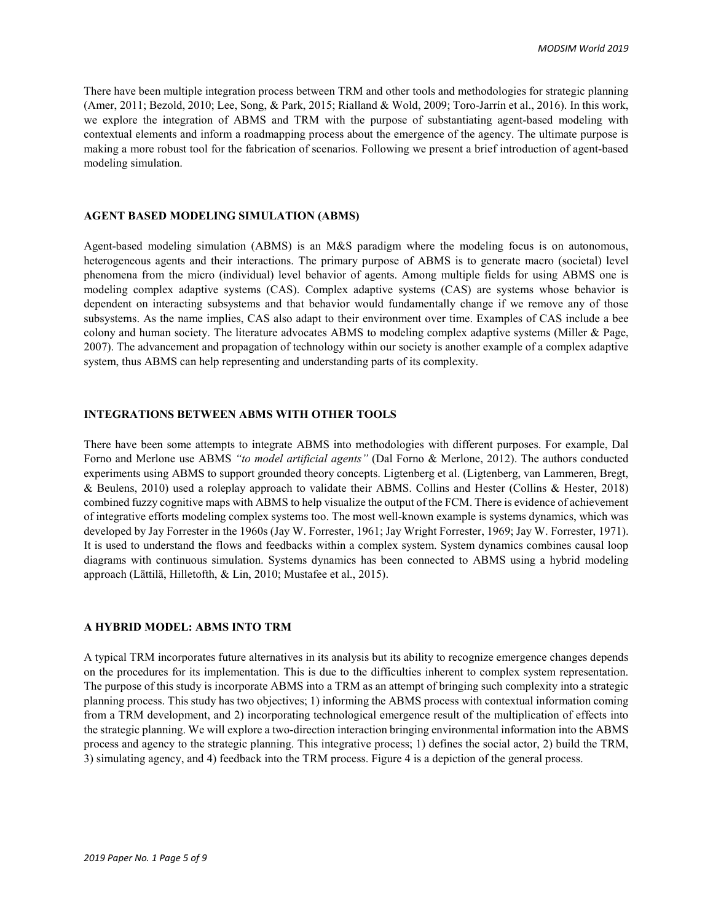There have been multiple integration process between TRM and other tools and methodologies for strategic planning (Amer, 2011; Bezold, 2010; Lee, Song, & Park, 2015; Rialland & Wold, 2009; Toro-Jarrín et al., 2016). In this work, we explore the integration of ABMS and TRM with the purpose of substantiating agent-based modeling with contextual elements and inform a roadmapping process about the emergence of the agency. The ultimate purpose is making a more robust tool for the fabrication of scenarios. Following we present a brief introduction of agent-based modeling simulation.

## **AGENT BASED MODELING SIMULATION (ABMS)**

Agent-based modeling simulation (ABMS) is an M&S paradigm where the modeling focus is on autonomous, heterogeneous agents and their interactions. The primary purpose of ABMS is to generate macro (societal) level phenomena from the micro (individual) level behavior of agents. Among multiple fields for using ABMS one is modeling complex adaptive systems (CAS). Complex adaptive systems (CAS) are systems whose behavior is dependent on interacting subsystems and that behavior would fundamentally change if we remove any of those subsystems. As the name implies, CAS also adapt to their environment over time. Examples of CAS include a bee colony and human society. The literature advocates ABMS to modeling complex adaptive systems (Miller & Page, 2007). The advancement and propagation of technology within our society is another example of a complex adaptive system, thus ABMS can help representing and understanding parts of its complexity.

### **INTEGRATIONS BETWEEN ABMS WITH OTHER TOOLS**

There have been some attempts to integrate ABMS into methodologies with different purposes. For example, Dal Forno and Merlone use ABMS *"to model artificial agents"* (Dal Forno & Merlone, 2012). The authors conducted experiments using ABMS to support grounded theory concepts. Ligtenberg et al. (Ligtenberg, van Lammeren, Bregt, & Beulens, 2010) used a roleplay approach to validate their ABMS. Collins and Hester (Collins & Hester, 2018) combined fuzzy cognitive maps with ABMS to help visualize the output of the FCM. There is evidence of achievement of integrative efforts modeling complex systems too. The most well-known example is systems dynamics, which was developed by Jay Forrester in the 1960s (Jay W. Forrester, 1961; Jay Wright Forrester, 1969; Jay W. Forrester, 1971). It is used to understand the flows and feedbacks within a complex system. System dynamics combines causal loop diagrams with continuous simulation. Systems dynamics has been connected to ABMS using a hybrid modeling approach (Lättilä, Hilletofth, & Lin, 2010; Mustafee et al., 2015).

## **A HYBRID MODEL: ABMS INTO TRM**

A typical TRM incorporates future alternatives in its analysis but its ability to recognize emergence changes depends on the procedures for its implementation. This is due to the difficulties inherent to complex system representation. The purpose of this study is incorporate ABMS into a TRM as an attempt of bringing such complexity into a strategic planning process. This study has two objectives; 1) informing the ABMS process with contextual information coming from a TRM development, and 2) incorporating technological emergence result of the multiplication of effects into the strategic planning. We will explore a two-direction interaction bringing environmental information into the ABMS process and agency to the strategic planning. This integrative process; 1) defines the social actor, 2) build the TRM, 3) simulating agency, and 4) feedback into the TRM process. [Figure 4](#page-5-0) is a depiction of the general process.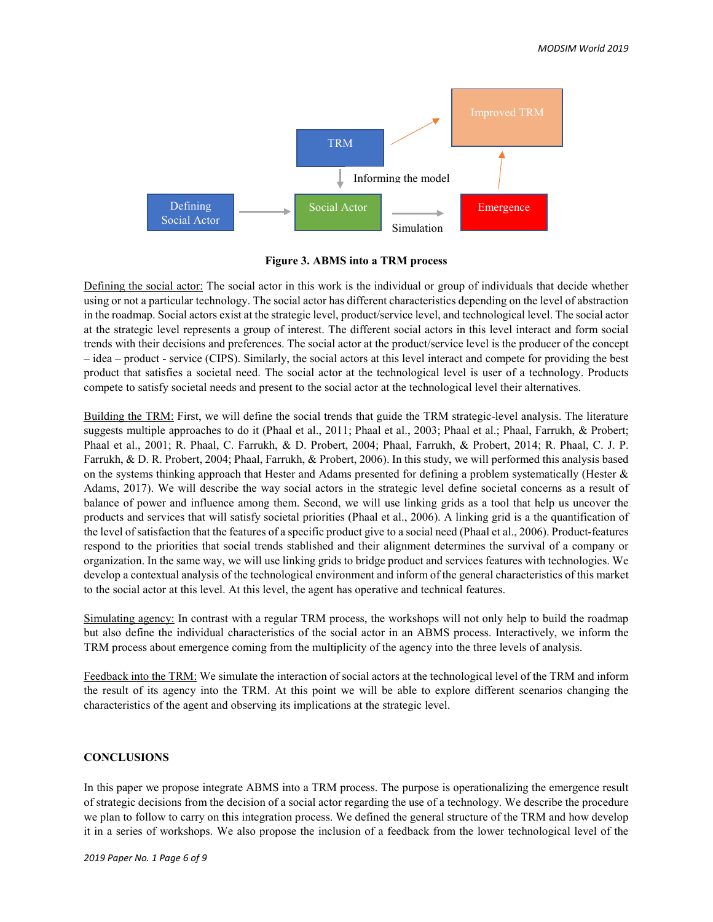

**Figure 3. ABMS into a TRM process**

<span id="page-5-0"></span>Defining the social actor: The social actor in this work is the individual or group of individuals that decide whether using or not a particular technology. The social actor has different characteristics depending on the level of abstraction in the roadmap. Social actors exist at the strategic level, product/service level, and technological level. The social actor at the strategic level represents a group of interest. The different social actors in this level interact and form social trends with their decisions and preferences. The social actor at the product/service level is the producer of the concept – idea – product - service (CIPS). Similarly, the social actors at this level interact and compete for providing the best product that satisfies a societal need. The social actor at the technological level is user of a technology. Products compete to satisfy societal needs and present to the social actor at the technological level their alternatives.

Building the TRM: First, we will define the social trends that guide the TRM strategic-level analysis. The literature suggests multiple approaches to do it (Phaal et al., 2011; Phaal et al., 2003; Phaal et al.; Phaal, Farrukh, & Probert; Phaal et al., 2001; R. Phaal, C. Farrukh, & D. Probert, 2004; Phaal, Farrukh, & Probert, 2014; R. Phaal, C. J. P. Farrukh, & D. R. Probert, 2004; Phaal, Farrukh, & Probert, 2006). In this study, we will performed this analysis based on the systems thinking approach that Hester and Adams presented for defining a problem systematically (Hester & Adams, 2017). We will describe the way social actors in the strategic level define societal concerns as a result of balance of power and influence among them. Second, we will use linking grids as a tool that help us uncover the products and services that will satisfy societal priorities (Phaal et al., 2006). A linking grid is a the quantification of the level of satisfaction that the features of a specific product give to a social need (Phaal et al., 2006). Product-features respond to the priorities that social trends stablished and their alignment determines the survival of a company or organization. In the same way, we will use linking grids to bridge product and services features with technologies. We develop a contextual analysis of the technological environment and inform of the general characteristics of this market to the social actor at this level. At this level, the agent has operative and technical features.

Simulating agency: In contrast with a regular TRM process, the workshops will not only help to build the roadmap but also define the individual characteristics of the social actor in an ABMS process. Interactively, we inform the TRM process about emergence coming from the multiplicity of the agency into the three levels of analysis.

Feedback into the TRM: We simulate the interaction of social actors at the technological level of the TRM and inform the result of its agency into the TRM. At this point we will be able to explore different scenarios changing the characteristics of the agent and observing its implications at the strategic level.

## **CONCLUSIONS**

In this paper we propose integrate ABMS into a TRM process. The purpose is operationalizing the emergence result of strategic decisions from the decision of a social actor regarding the use of a technology. We describe the procedure we plan to follow to carry on this integration process. We defined the general structure of the TRM and how develop it in a series of workshops. We also propose the inclusion of a feedback from the lower technological level of the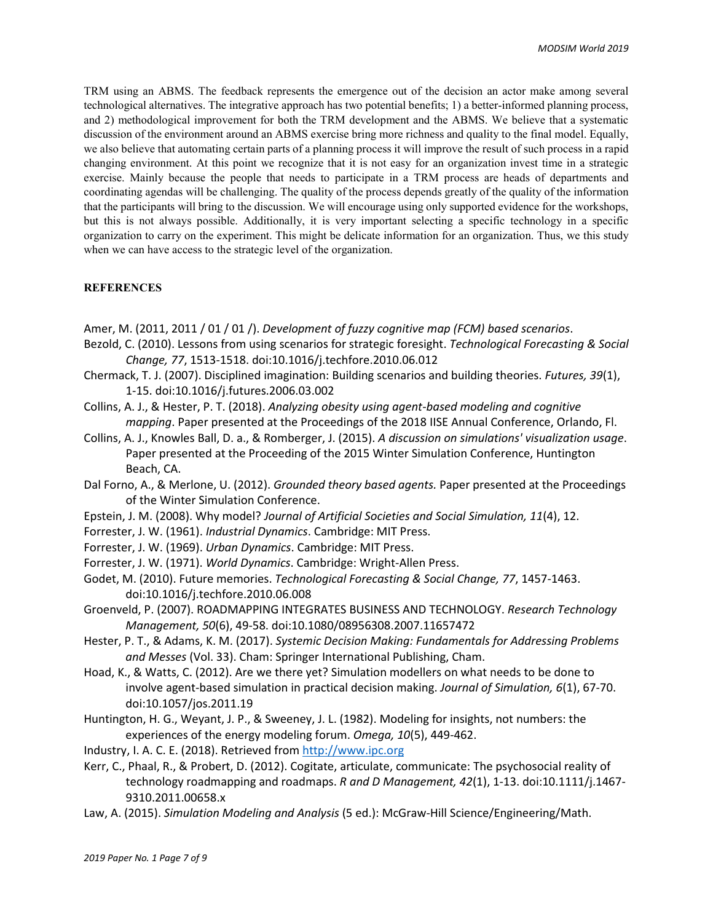TRM using an ABMS. The feedback represents the emergence out of the decision an actor make among several technological alternatives. The integrative approach has two potential benefits; 1) a better-informed planning process, and 2) methodological improvement for both the TRM development and the ABMS. We believe that a systematic discussion of the environment around an ABMS exercise bring more richness and quality to the final model. Equally, we also believe that automating certain parts of a planning process it will improve the result of such process in a rapid changing environment. At this point we recognize that it is not easy for an organization invest time in a strategic exercise. Mainly because the people that needs to participate in a TRM process are heads of departments and coordinating agendas will be challenging. The quality of the process depends greatly of the quality of the information that the participants will bring to the discussion. We will encourage using only supported evidence for the workshops, but this is not always possible. Additionally, it is very important selecting a specific technology in a specific organization to carry on the experiment. This might be delicate information for an organization. Thus, we this study when we can have access to the strategic level of the organization.

# **REFERENCES**

- Amer, M. (2011, 2011 / 01 / 01 /). *Development of fuzzy cognitive map (FCM) based scenarios*.
- Bezold, C. (2010). Lessons from using scenarios for strategic foresight. *Technological Forecasting & Social Change, 77*, 1513-1518. doi:10.1016/j.techfore.2010.06.012
- Chermack, T. J. (2007). Disciplined imagination: Building scenarios and building theories. *Futures, 39*(1), 1-15. doi:10.1016/j.futures.2006.03.002
- Collins, A. J., & Hester, P. T. (2018). *Analyzing obesity using agent-based modeling and cognitive mapping*. Paper presented at the Proceedings of the 2018 IISE Annual Conference, Orlando, Fl.
- Collins, A. J., Knowles Ball, D. a., & Romberger, J. (2015). *A discussion on simulations' visualization usage*. Paper presented at the Proceeding of the 2015 Winter Simulation Conference, Huntington Beach, CA.
- Dal Forno, A., & Merlone, U. (2012). *Grounded theory based agents.* Paper presented at the Proceedings of the Winter Simulation Conference.
- Epstein, J. M. (2008). Why model? *Journal of Artificial Societies and Social Simulation, 11*(4), 12.
- Forrester, J. W. (1961). *Industrial Dynamics*. Cambridge: MIT Press.
- Forrester, J. W. (1969). *Urban Dynamics*. Cambridge: MIT Press.
- Forrester, J. W. (1971). *World Dynamics*. Cambridge: Wright-Allen Press.
- Godet, M. (2010). Future memories. *Technological Forecasting & Social Change, 77*, 1457-1463. doi:10.1016/j.techfore.2010.06.008
- Groenveld, P. (2007). ROADMAPPING INTEGRATES BUSINESS AND TECHNOLOGY. *Research Technology Management, 50*(6), 49-58. doi:10.1080/08956308.2007.11657472
- Hester, P. T., & Adams, K. M. (2017). *Systemic Decision Making: Fundamentals for Addressing Problems and Messes* (Vol. 33). Cham: Springer International Publishing, Cham.
- Hoad, K., & Watts, C. (2012). Are we there yet? Simulation modellers on what needs to be done to involve agent-based simulation in practical decision making. *Journal of Simulation, 6*(1), 67-70. doi:10.1057/jos.2011.19
- Huntington, H. G., Weyant, J. P., & Sweeney, J. L. (1982). Modeling for insights, not numbers: the experiences of the energy modeling forum. *Omega, 10*(5), 449-462.
- Industry, I. A. C. E. (2018). Retrieved fro[m http://www.ipc.org](http://www.ipc.org/)
- Kerr, C., Phaal, R., & Probert, D. (2012). Cogitate, articulate, communicate: The psychosocial reality of technology roadmapping and roadmaps. *R and D Management, 42*(1), 1-13. doi:10.1111/j.1467- 9310.2011.00658.x
- Law, A. (2015). *Simulation Modeling and Analysis* (5 ed.): McGraw-Hill Science/Engineering/Math.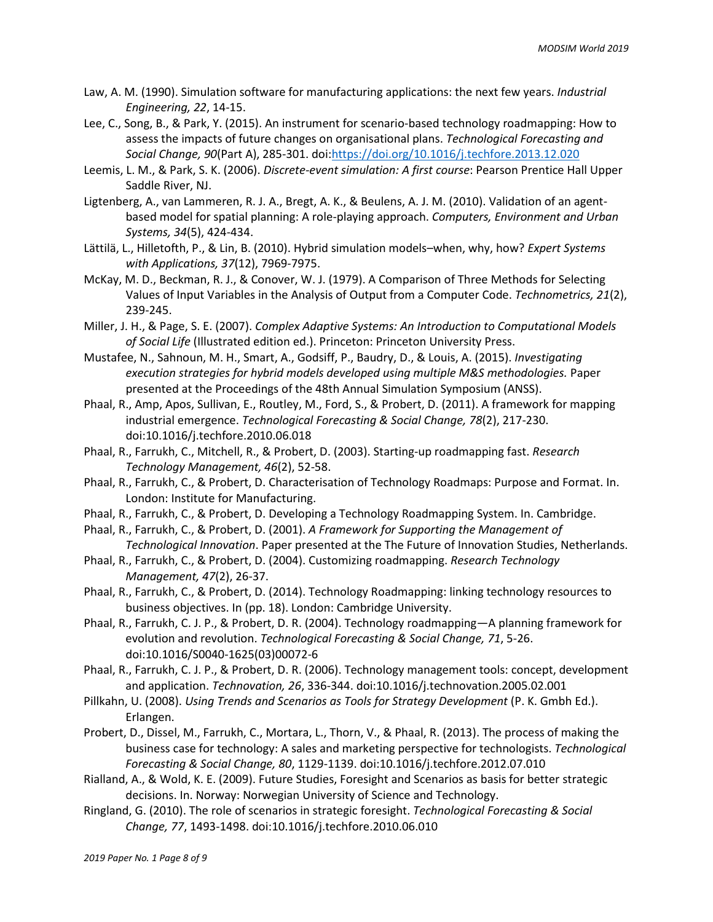- Law, A. M. (1990). Simulation software for manufacturing applications: the next few years. *Industrial Engineering, 22*, 14-15.
- Lee, C., Song, B., & Park, Y. (2015). An instrument for scenario-based technology roadmapping: How to assess the impacts of future changes on organisational plans. *Technological Forecasting and Social Change, 90*(Part A), 285-301. doi[:https://doi.org/10.1016/j.techfore.2013.12.020](https://doi.org/10.1016/j.techfore.2013.12.020)
- Leemis, L. M., & Park, S. K. (2006). *Discrete-event simulation: A first course*: Pearson Prentice Hall Upper Saddle River, NJ.
- Ligtenberg, A., van Lammeren, R. J. A., Bregt, A. K., & Beulens, A. J. M. (2010). Validation of an agentbased model for spatial planning: A role-playing approach. *Computers, Environment and Urban Systems, 34*(5), 424-434.
- Lättilä, L., Hilletofth, P., & Lin, B. (2010). Hybrid simulation models–when, why, how? *Expert Systems with Applications, 37*(12), 7969-7975.
- McKay, M. D., Beckman, R. J., & Conover, W. J. (1979). A Comparison of Three Methods for Selecting Values of Input Variables in the Analysis of Output from a Computer Code. *Technometrics, 21*(2), 239-245.
- Miller, J. H., & Page, S. E. (2007). *Complex Adaptive Systems: An Introduction to Computational Models of Social Life* (Illustrated edition ed.). Princeton: Princeton University Press.
- Mustafee, N., Sahnoun, M. H., Smart, A., Godsiff, P., Baudry, D., & Louis, A. (2015). *Investigating execution strategies for hybrid models developed using multiple M&S methodologies.* Paper presented at the Proceedings of the 48th Annual Simulation Symposium (ANSS).
- Phaal, R., Amp, Apos, Sullivan, E., Routley, M., Ford, S., & Probert, D. (2011). A framework for mapping industrial emergence. *Technological Forecasting & Social Change, 78*(2), 217-230. doi:10.1016/j.techfore.2010.06.018
- Phaal, R., Farrukh, C., Mitchell, R., & Probert, D. (2003). Starting-up roadmapping fast. *Research Technology Management, 46*(2), 52-58.
- Phaal, R., Farrukh, C., & Probert, D. Characterisation of Technology Roadmaps: Purpose and Format. In. London: Institute for Manufacturing.
- Phaal, R., Farrukh, C., & Probert, D. Developing a Technology Roadmapping System. In. Cambridge.
- Phaal, R., Farrukh, C., & Probert, D. (2001). *A Framework for Supporting the Management of Technological Innovation*. Paper presented at the The Future of Innovation Studies, Netherlands.
- Phaal, R., Farrukh, C., & Probert, D. (2004). Customizing roadmapping. *Research Technology Management, 47*(2), 26-37.
- Phaal, R., Farrukh, C., & Probert, D. (2014). Technology Roadmapping: linking technology resources to business objectives. In (pp. 18). London: Cambridge University.
- Phaal, R., Farrukh, C. J. P., & Probert, D. R. (2004). Technology roadmapping—A planning framework for evolution and revolution. *Technological Forecasting & Social Change, 71*, 5-26. doi:10.1016/S0040-1625(03)00072-6
- Phaal, R., Farrukh, C. J. P., & Probert, D. R. (2006). Technology management tools: concept, development and application. *Technovation, 26*, 336-344. doi:10.1016/j.technovation.2005.02.001
- Pillkahn, U. (2008). *Using Trends and Scenarios as Tools for Strategy Development* (P. K. Gmbh Ed.). Erlangen.
- Probert, D., Dissel, M., Farrukh, C., Mortara, L., Thorn, V., & Phaal, R. (2013). The process of making the business case for technology: A sales and marketing perspective for technologists. *Technological Forecasting & Social Change, 80*, 1129-1139. doi:10.1016/j.techfore.2012.07.010
- Rialland, A., & Wold, K. E. (2009). Future Studies, Foresight and Scenarios as basis for better strategic decisions. In. Norway: Norwegian University of Science and Technology.
- Ringland, G. (2010). The role of scenarios in strategic foresight. *Technological Forecasting & Social Change, 77*, 1493-1498. doi:10.1016/j.techfore.2010.06.010